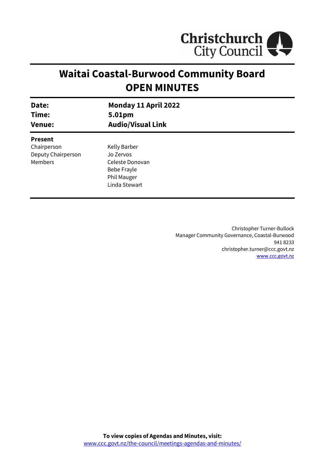

# **Waitai Coastal-Burwood Community Board OPEN MINUTES**

| Date:                                                          | Monday 11 April 2022                                                                               |
|----------------------------------------------------------------|----------------------------------------------------------------------------------------------------|
| Time:                                                          | 5.01pm                                                                                             |
| <b>Venue:</b>                                                  | <b>Audio/Visual Link</b>                                                                           |
| <b>Present</b><br>Chairperson<br>Deputy Chairperson<br>Members | Kelly Barber<br>Jo Zervos<br>Celeste Donovan<br>Bebe Frayle<br><b>Phil Mauger</b><br>Linda Stewart |

Christopher Turner-Bullock Manager Community Governance, Coastal-Burwood 941 8233 christopher.turner@ccc.govt.nz [www.ccc.govt.nz](http://www.ccc.govt.nz/)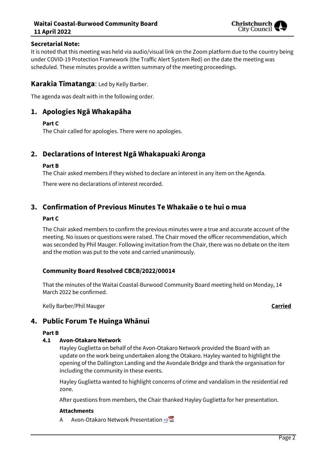## **Waitai Coastal-Burwood Community Board 11 April 2022**



## **Secretarial Note:**

It is noted that this meeting was held via audio/visual link on the Zoom platform due to the country being under COVID-19 Protection Framework (the Traffic Alert System Red) on the date the meeting was scheduled. These minutes provide a written summary of the meeting proceedings.

## **Karakia Tīmatanga**: Led by Kelly Barber.

The agenda was dealt with in the following order.

## **1. Apologies Ngā Whakapāha**

## **Part C**

The Chair called for apologies. There were no apologies.

## **2. Declarations of Interest Ngā Whakapuaki Aronga**

#### **Part B**

The Chair asked members if they wished to declare an interest in any item on the Agenda.

There were no declarations of interest recorded.

## **3. Confirmation of Previous Minutes Te Whakaāe o te hui o mua**

## **Part C**

The Chair asked members to confirm the previous minutes were a true and accurate account of the meeting. No issues or questions were raised. The Chair moved the officer recommendation, which was seconded by Phil Mauger. Following invitation from the Chair, there was no debate on the item and the motion was put to the vote and carried unanimously.

## **Community Board Resolved CBCB/2022/00014**

That the minutes of the Waitai Coastal-Burwood Community Board meeting held on Monday, 14 March 2022 be confirmed.

Kelly Barber/Phil Mauger **Carried**

## **4. Public Forum Te Huinga Whānui**

#### **Part B**

#### **4.1 Avon-Otakaro Network**

Hayley Guglietta on behalf of the Avon-Otakaro Network provided the Board with an update on the work being undertaken along the Otakaro. Hayley wanted to highlight the opening of the Dallington Landing and the Avondale Bridge and thank the organisation for including the community in these events.

Hayley Guglietta wanted to highlight concerns of crime and vandalism in the residential red zone.

After questions from members, the Chair thanked Hayley Guglietta for her presentation.

#### **Attachments**

A Avon-Otakaro Network Presentation **or**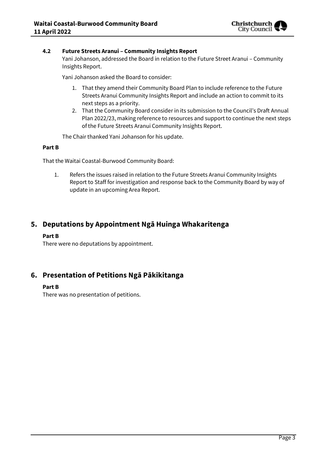

## **4.2 Future Streets Aranui – Community Insights Report**

Yani Johanson, addressed the Board in relation to the Future Street Aranui – Community Insights Report.

Yani Johanson asked the Board to consider:

- 1. That they amend their Community Board Plan to include reference to the Future Streets Aranui Community Insights Report and include an action to commit to its next steps as a priority.
- 2. That the Community Board consider in its submission to the Council's Draft Annual Plan 2022/23, making reference to resources and support to continue the next steps of the Future Streets Aranui Community Insights Report.

The Chair thanked Yani Johanson for his update.

#### **Part B**

That the Waitai Coastal-Burwood Community Board:

1. Refers the issues raised in relation to the Future Streets Aranui Community Insights Report to Staff for investigation and response back to the Community Board by way of update in an upcoming Area Report.

## **5. Deputations by Appointment Ngā Huinga Whakaritenga**

#### **Part B**

There were no deputations by appointment.

## **6. Presentation of Petitions Ngā Pākikitanga**

#### **Part B**

There was no presentation of petitions.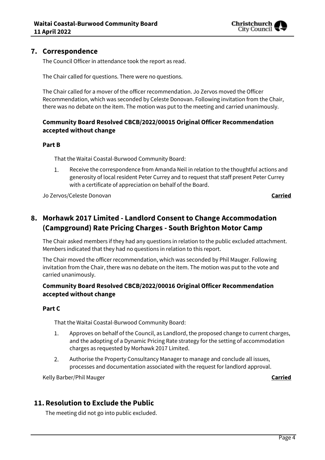

## **7. Correspondence**

The Council Officer in attendance took the report as read.

The Chair called for questions. There were no questions.

The Chair called for a mover of the officer recommendation. Jo Zervos moved the Officer Recommendation, which was seconded by Celeste Donovan. Following invitation from the Chair, there was no debate on the item. The motion was put to the meeting and carried unanimously.

## **Community Board Resolved CBCB/2022/00015 Original Officer Recommendation accepted without change**

## **Part B**

That the Waitai Coastal-Burwood Community Board:

1. Receive the correspondence from Amanda Neil in relation to the thoughtful actions and generosity of local resident Peter Currey and to request that staff present Peter Currey with a certificate of appreciation on behalf of the Board.

Jo Zervos/Celeste Donovan **Carried**

## **8. Morhawk 2017 Limited - Landlord Consent to Change Accommodation (Campground) Rate Pricing Charges - South Brighton Motor Camp**

The Chair asked members if they had any questions in relation to the public excluded attachment. Members indicated that they had no questions in relation to this report.

The Chair moved the officer recommendation, which was seconded by Phil Mauger. Following invitation from the Chair, there was no debate on the item. The motion was put to the vote and carried unanimously.

## **Community Board Resolved CBCB/2022/00016 Original Officer Recommendation accepted without change**

#### **Part C**

That the Waitai Coastal-Burwood Community Board:

- $1<sup>1</sup>$ Approves on behalf of the Council, as Landlord, the proposed change to current charges, and the adopting of a Dynamic Pricing Rate strategy for the setting of accommodation charges as requested by Morhawk 2017 Limited.
- 2. Authorise the Property Consultancy Manager to manage and conclude all issues, processes and documentation associated with the request for landlord approval.

Kelly Barber/Phil Mauger **Carried**

## **11. Resolution to Exclude the Public**

The meeting did not go into public excluded.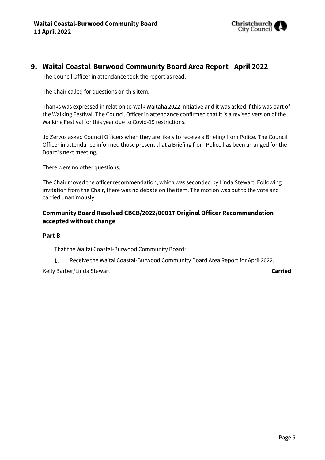

## **9. Waitai Coastal-Burwood Community Board Area Report - April 2022**

The Council Officer in attendance took the report as read.

The Chair called for questions on this item.

Thanks was expressed in relation to Walk Waitaha 2022 initiative and it was asked if this was part of the Walking Festival. The Council Officer in attendance confirmed that it is a revised version of the Walking Festival for this year due to Covid-19 restrictions.

Jo Zervos asked Council Officers when they are likely to receive a Briefing from Police. The Council Officer in attendance informed those present that a Briefing from Police has been arranged for the Board's next meeting.

There were no other questions.

The Chair moved the officer recommendation, which was seconded by Linda Stewart. Following invitation from the Chair, there was no debate on the item. The motion was put to the vote and carried unanimously.

## **Community Board Resolved CBCB/2022/00017 Original Officer Recommendation accepted without change**

#### **Part B**

That the Waitai Coastal-Burwood Community Board:

Receive the Waitai Coastal-Burwood Community Board Area Report for April 2022.  $1.$ 

Kelly Barber/Linda Stewart **Carried**